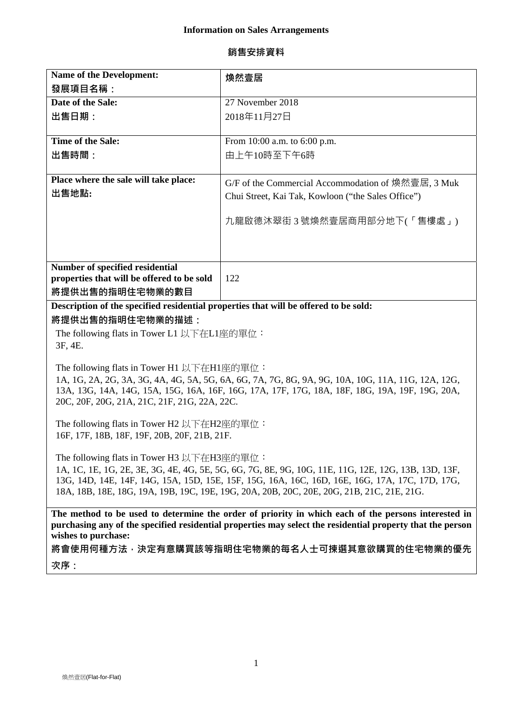## **銷售安排資料**

| Name of the Development:                                                                                                                                                                              | 煥然壹居                                               |
|-------------------------------------------------------------------------------------------------------------------------------------------------------------------------------------------------------|----------------------------------------------------|
| 發展項目名稱:                                                                                                                                                                                               |                                                    |
| Date of the Sale:                                                                                                                                                                                     | 27 November 2018                                   |
| 出售日期:                                                                                                                                                                                                 | 2018年11月27日                                        |
|                                                                                                                                                                                                       |                                                    |
| <b>Time of the Sale:</b>                                                                                                                                                                              | From 10:00 a.m. to 6:00 p.m.                       |
| 出售時間:                                                                                                                                                                                                 | 由上午10時至下午6時                                        |
|                                                                                                                                                                                                       |                                                    |
| Place where the sale will take place:                                                                                                                                                                 | G/F of the Commercial Accommodation of 煥然壹居, 3 Muk |
| 出售地點:                                                                                                                                                                                                 | Chui Street, Kai Tak, Kowloon ("the Sales Office") |
|                                                                                                                                                                                                       |                                                    |
|                                                                                                                                                                                                       | 九龍啟德沐翠街 3 號煥然壹居商用部分地下(「售樓處」)                       |
|                                                                                                                                                                                                       |                                                    |
|                                                                                                                                                                                                       |                                                    |
| Number of specified residential                                                                                                                                                                       |                                                    |
| properties that will be offered to be sold                                                                                                                                                            | 122                                                |
| 將提供出售的指明住宅物業的數目                                                                                                                                                                                       |                                                    |
| Description of the specified residential properties that will be offered to be sold:                                                                                                                  |                                                    |
| 將提供出售的指明住宅物業的描述:                                                                                                                                                                                      |                                                    |
| The following flats in Tower L1 以下在L1座的單位:                                                                                                                                                            |                                                    |
| 3F, 4E.                                                                                                                                                                                               |                                                    |
|                                                                                                                                                                                                       |                                                    |
| The following flats in Tower H1 以下在H1座的單位:                                                                                                                                                            |                                                    |
| 1A, 1G, 2A, 2G, 3A, 3G, 4A, 4G, 5A, 5G, 6A, 6G, 7A, 7G, 8G, 9A, 9G, 10A, 10G, 11A, 11G, 12A, 12G,                                                                                                     |                                                    |
| 13A, 13G, 14A, 14G, 15A, 15G, 16A, 16F, 16G, 17A, 17F, 17G, 18A, 18F, 18G, 19A, 19F, 19G, 20A,                                                                                                        |                                                    |
| 20C, 20F, 20G, 21A, 21C, 21F, 21G, 22A, 22C.                                                                                                                                                          |                                                    |
| The following flats in Tower H2 以下在H2座的單位:                                                                                                                                                            |                                                    |
| 16F, 17F, 18B, 18F, 19F, 20B, 20F, 21B, 21F.                                                                                                                                                          |                                                    |
|                                                                                                                                                                                                       |                                                    |
| The following flats in Tower H3 以下在H3座的單位:                                                                                                                                                            |                                                    |
| 1A, 1C, 1E, 1G, 2E, 3E, 3G, 4E, 4G, 5E, 5G, 6G, 7G, 8E, 9G, 10G, 11E, 11G, 12E, 12G, 13B, 13D, 13F,<br>13G, 14D, 14E, 14F, 14G, 15A, 15D, 15E, 15F, 15G, 16A, 16C, 16D, 16E, 16G, 17A, 17C, 17D, 17G, |                                                    |
| 18A, 18B, 18E, 18G, 19A, 19B, 19C, 19E, 19G, 20A, 20B, 20C, 20E, 20G, 21B, 21C, 21E, 21G.                                                                                                             |                                                    |
|                                                                                                                                                                                                       |                                                    |
| The method to be used to determine the order of priority in which each of the persons interested in                                                                                                   |                                                    |
| purchasing any of the specified residential properties may select the residential property that the person                                                                                            |                                                    |
| wishes to purchase:                                                                                                                                                                                   |                                                    |
| 將會使用何種方法,決定有意購買該等指明住宅物業的每名人士可揀選其意欲購買的住宅物業的優先                                                                                                                                                          |                                                    |
| 次序:                                                                                                                                                                                                   |                                                    |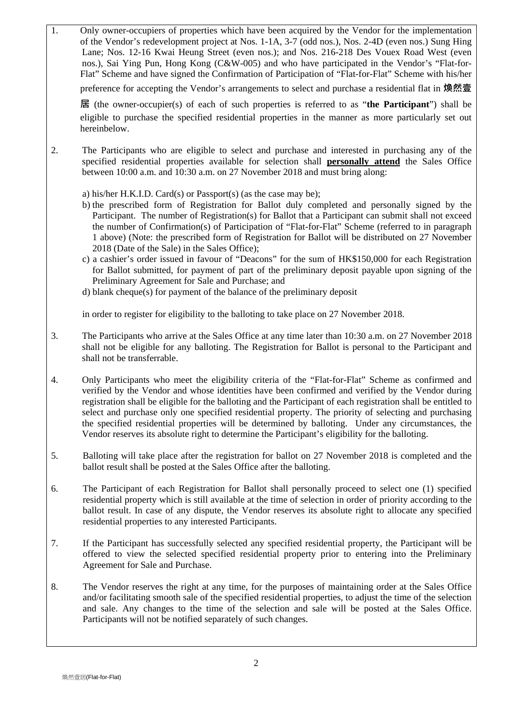1. Only owner-occupiers of properties which have been acquired by the Vendor for the implementation of the Vendor's redevelopment project at Nos. 1-1A, 3-7 (odd nos.), Nos. 2-4D (even nos.) Sung Hing Lane; Nos. 12-16 Kwai Heung Street (even nos.); and Nos. 216-218 Des Vouex Road West (even nos.), Sai Ying Pun, Hong Kong (C&W-005) and who have participated in the Vendor's "Flat-for-Flat" Scheme and have signed the Confirmation of Participation of "Flat-for-Flat" Scheme with his/her preference for accepting the Vendor's arrangements to select and purchase a residential flat in **煥然壹 居** (the owner-occupier(s) of each of such properties is referred to as "**the Participant**") shall be eligible to purchase the specified residential properties in the manner as more particularly set out hereinbelow. 2. The Participants who are eligible to select and purchase and interested in purchasing any of the specified residential properties available for selection shall **personally attend** the Sales Office between 10:00 a.m. and 10:30 a.m. on 27 November 2018 and must bring along: a) his/her H.K.I.D. Card(s) or Passport(s) (as the case may be); b) the prescribed form of Registration for Ballot duly completed and personally signed by the Participant. The number of Registration(s) for Ballot that a Participant can submit shall not exceed the number of Confirmation(s) of Participation of "Flat-for-Flat" Scheme (referred to in paragraph 1 above) (Note: the prescribed form of Registration for Ballot will be distributed on 27 November 2018 (Date of the Sale) in the Sales Office); c) a cashier's order issued in favour of "Deacons" for the sum of HK\$150,000 for each Registration for Ballot submitted, for payment of part of the preliminary deposit payable upon signing of the Preliminary Agreement for Sale and Purchase; and d) blank cheque(s) for payment of the balance of the preliminary deposit in order to register for eligibility to the balloting to take place on 27 November 2018. 3. The Participants who arrive at the Sales Office at any time later than 10:30 a.m. on 27 November 2018 shall not be eligible for any balloting. The Registration for Ballot is personal to the Participant and shall not be transferrable. 4. Only Participants who meet the eligibility criteria of the "Flat-for-Flat" Scheme as confirmed and verified by the Vendor and whose identities have been confirmed and verified by the Vendor during registration shall be eligible for the balloting and the Participant of each registration shall be entitled to select and purchase only one specified residential property. The priority of selecting and purchasing the specified residential properties will be determined by balloting. Under any circumstances, the Vendor reserves its absolute right to determine the Participant's eligibility for the balloting. 5. Balloting will take place after the registration for ballot on 27 November 2018 is completed and the ballot result shall be posted at the Sales Office after the balloting. 6. 7. The Participant of each Registration for Ballot shall personally proceed to select one (1) specified residential property which is still available at the time of selection in order of priority according to the ballot result. In case of any dispute, the Vendor reserves its absolute right to allocate any specified residential properties to any interested Participants. If the Participant has successfully selected any specified residential property, the Participant will be offered to view the selected specified residential property prior to entering into the Preliminary Agreement for Sale and Purchase. 8. The Vendor reserves the right at any time, for the purposes of maintaining order at the Sales Office and/or facilitating smooth sale of the specified residential properties, to adjust the time of the selection and sale. Any changes to the time of the selection and sale will be posted at the Sales Office. Participants will not be notified separately of such changes.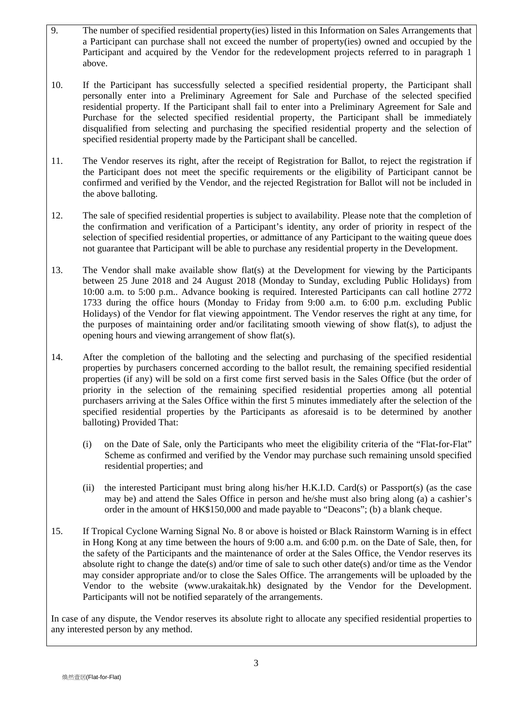- 9. The number of specified residential property(ies) listed in this Information on Sales Arrangements that a Participant can purchase shall not exceed the number of property(ies) owned and occupied by the Participant and acquired by the Vendor for the redevelopment projects referred to in paragraph 1 above.
- 10. If the Participant has successfully selected a specified residential property, the Participant shall personally enter into a Preliminary Agreement for Sale and Purchase of the selected specified residential property. If the Participant shall fail to enter into a Preliminary Agreement for Sale and Purchase for the selected specified residential property, the Participant shall be immediately disqualified from selecting and purchasing the specified residential property and the selection of specified residential property made by the Participant shall be cancelled.
- 11. The Vendor reserves its right, after the receipt of Registration for Ballot, to reject the registration if the Participant does not meet the specific requirements or the eligibility of Participant cannot be confirmed and verified by the Vendor, and the rejected Registration for Ballot will not be included in the above balloting.
- 12. The sale of specified residential properties is subject to availability. Please note that the completion of the confirmation and verification of a Participant's identity, any order of priority in respect of the selection of specified residential properties, or admittance of any Participant to the waiting queue does not guarantee that Participant will be able to purchase any residential property in the Development.
- 13. The Vendor shall make available show flat(s) at the Development for viewing by the Participants between 25 June 2018 and 24 August 2018 (Monday to Sunday, excluding Public Holidays) from 10:00 a.m. to 5:00 p.m.. Advance booking is required. Interested Participants can call hotline 2772 1733 during the office hours (Monday to Friday from 9:00 a.m. to 6:00 p.m. excluding Public Holidays) of the Vendor for flat viewing appointment. The Vendor reserves the right at any time, for the purposes of maintaining order and/or facilitating smooth viewing of show flat(s), to adjust the opening hours and viewing arrangement of show flat(s).
- 14. After the completion of the balloting and the selecting and purchasing of the specified residential properties by purchasers concerned according to the ballot result, the remaining specified residential properties (if any) will be sold on a first come first served basis in the Sales Office (but the order of priority in the selection of the remaining specified residential properties among all potential purchasers arriving at the Sales Office within the first 5 minutes immediately after the selection of the specified residential properties by the Participants as aforesaid is to be determined by another balloting) Provided That:
	- (i) on the Date of Sale, only the Participants who meet the eligibility criteria of the "Flat-for-Flat" Scheme as confirmed and verified by the Vendor may purchase such remaining unsold specified residential properties; and
	- (ii) the interested Participant must bring along his/her H.K.I.D. Card(s) or Passport(s) (as the case may be) and attend the Sales Office in person and he/she must also bring along (a) a cashier's order in the amount of HK\$150,000 and made payable to "Deacons"; (b) a blank cheque.
- 15. If Tropical Cyclone Warning Signal No. 8 or above is hoisted or Black Rainstorm Warning is in effect in Hong Kong at any time between the hours of 9:00 a.m. and 6:00 p.m. on the Date of Sale, then, for the safety of the Participants and the maintenance of order at the Sales Office, the Vendor reserves its absolute right to change the date(s) and/or time of sale to such other date(s) and/or time as the Vendor may consider appropriate and/or to close the Sales Office. The arrangements will be uploaded by the Vendor to the website (www.urakaitak.hk) designated by the Vendor for the Development. Participants will not be notified separately of the arrangements.

In case of any dispute, the Vendor reserves its absolute right to allocate any specified residential properties to any interested person by any method.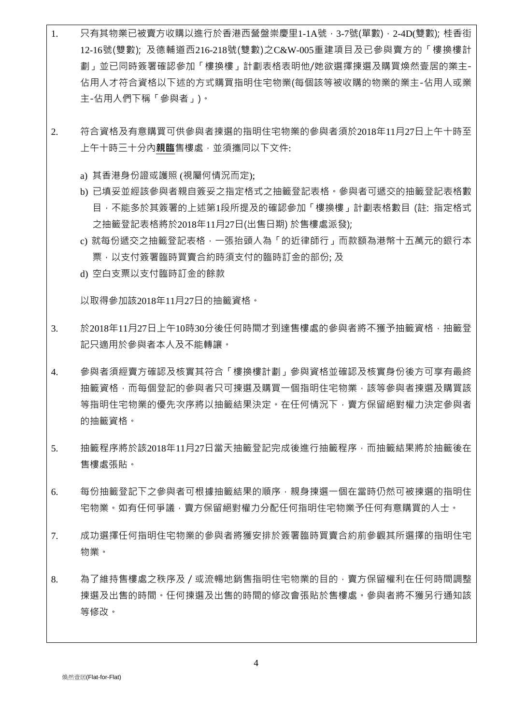- 1. 只有其物業已被賣方收購以進行於香港西營盤崇慶里1-1A號,3-7號(單數),2-4D(雙數); 桂香街 12-16號(雙數); 及德輔道西216-218號(雙數)之C&W-005重建項目及已參與賣方的「樓換樓計 劃」並已同時簽署確認參加「樓換樓」計劃表格表明他/她欲選擇揀選及購買煥然壹居的業主-佔用人才符合資格以下述的方式購買指明住宅物業(每個該等被收購的物業的業主-佔用人或業 主-佔用人們下稱「參與者」)。
- 2. 符合資格及有意購買可供參與者揀選的指明住宅物業的參與者須於2018年11月27日上午十時至 上午十時三十分內**親臨**售樓處,並須攜同以下文件:
	- a) 其香港身份證或護照 (視屬何情況而定);
	- b) 已填妥並經該參與者親自簽妥之指定格式之抽籤登記表格。參與者可遞交的抽籤登記表格數 目,不能多於其簽署的上述第1段所提及的確認參加「樓換樓」計劃表格數目 (註: 指定格式 之抽籤登記表格將於2018年11月27日(出售日期) 於售樓處派發);
	- c) 就每份遞交之抽籤登記表格,一張抬頭人為「的近律師行」而款額為港幣十五萬元的銀行本 票,以支付簽署臨時買賣合約時須支付的臨時訂金的部份; 及
	- d) 空白支票以支付臨時訂金的餘款

以取得參加該2018年11月27日的抽籤資格。

- 3. 於2018年11月27日上午10時30分後任何時間才到達售樓處的參與者將不獲予抽籤資格,抽籤登 記只適用於參與者本人及不能轉讓。
- 4. 參與者須經賣方確認及核實其符合「樓換樓計劃」參與資格並確認及核實身份後方可享有最終 抽籤資格,而每個登記的參與者只可揀選及購買一個指明住宅物業,該等參與者揀選及購買該 等指明住宅物業的優先次序將以抽籤結果決定。在任何情況下,賣方保留絕對權力決定參與者 的抽籤資格。
- 5. 抽籤程序將於該2018年11月27日當天抽籤登記完成後進行抽籤程序,而抽籤結果將於抽籤後在 售樓處張貼。
- 6. 每份抽籤登記下之參與者可根據抽籤結果的順序,親身揀選一個在當時仍然可被揀選的指明住 宇物業。如有任何爭議,賣方保留絕對權力分配任何指明住宅物業予任何有意購買的人士。
- 7. 成功選擇任何指明住宅物業的參與者將獲安排於簽署臨時買賣合約前參觀其所選擇的指明住宅 物業。
- 8. 為了維持售樓處之秩序及 / 或流暢地銷售指明住宅物業的目的, 賣方保留權利在任何時間調整 揀選及出售的時間。任何揀選及出售的時間的修改會張貼於售樓處。參與者將不獲另行通知該 等修改。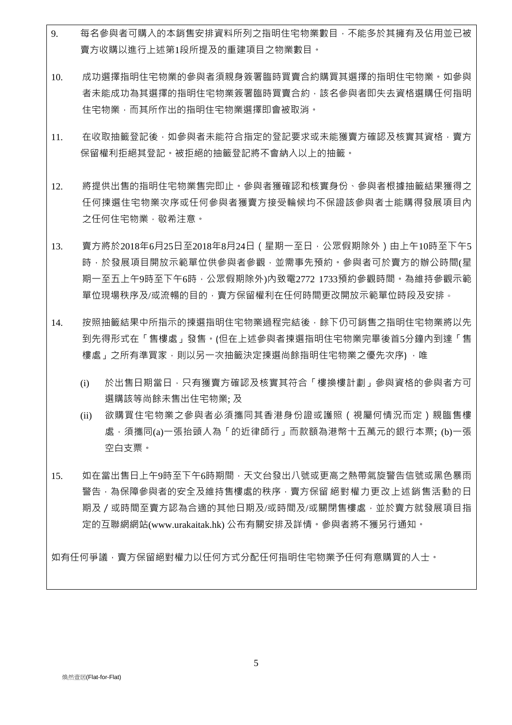- 9. 每名參與者可購入的本銷售安排資料所列之指明住宅物業數目,不能多於其擁有及佔用並已被 賣方收購以進行上述第1段所提及的重建項目之物業數目。
- 10. 成功選擇指明住宅物業的參與者須親身簽署臨時買賣合約購買其選擇的指明住宅物業。如參與 者未能成功為其選擇的指明住宅物業簽署臨時買賣合約,該名參與者即失去資格選購任何指明 住宅物業,而其所作出的指明住宅物業選擇即會被取消。
- 11. 在收取抽籤登記後,如參與者未能符合指定的登記要求或未能獲賣方確認及核實其資格,賣方 保留權利拒絕其登記。被拒絕的抽籤登記將不會納入以上的抽籤。
- 12. 將提供出售的指明住宅物業售完即止。參與者獲確認和核實身份、參與者根據抽籤結果獲得之 任何揀選住宅物業次序或任何參與者獲賣方接受輪候均不保證該參與者士能購得發展項目內 之任何住宅物業,敬希注意。
- 13. 賣方將於2018年6月25日至2018年8月24日(星期一至日,公眾假期除外)由上午10時至下午5 時,於發展項目開放示範單位供參與者參觀,並需事先預約。參與者可於賣方的辦公時間(星 期一至五上午9時至下午6時,公眾假期除外)內致電2772 1733預約參觀時間。為維持參觀示範 單位現場秩序及/或流暢的目的,賣方保留權利在任何時間更改開放示範單位時段及安排。
- 14. 按照抽籤結果中所指示的揀選指明住宅物業過程完結後,餘下仍可銷售之指明住宅物業將以先 到先得形式在「售樓處」發售。(但在上述參與者揀選指明住宅物業完畢後首5分鐘內到達「售 樓處,之所有準買家,則以另一次抽籤決定揀選尚餘指明住宅物業之優先次序),唯
	- (i) 於出售日期當日,只有獲賣方確認及核實其符合「樓換樓計劃」參與資格的參與者方可 選購該等尚餘未售出住宅物業; 及
	- (ii) 欲購買住宅物業之參與者必須攜同其香港身份證或護照(視屬何情況而定)親臨售樓 處,須攜同(a)一張抬頭人為「的近律師行」而款額為港幣十五萬元的銀行本票; (b)一張 空白支票。
- 15. 如在當出售日上午9時至下午6時期間,天文台發出八號或更高之熱帶氣旋警告信號或黑色暴雨 警告,為保障參與者的安全及維持售樓處的秩序,賣方保留 絕對權力更改上述銷售活動的日 期及/或時間至賣方認為合滴的其他日期及/或時間及/或關閉售樓處,並於賣方就發展項目指 定的互聯網網站(www.urakaitak.hk) 公布有關安排及詳情。參與者將不獲另行通知。

如有任何爭議,賣方保留絕對權力以任何方式分配任何指明住宅物業予任何有意購買的人士。